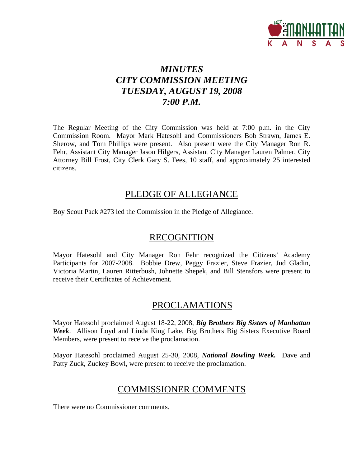

# *MINUTES CITY COMMISSION MEETING TUESDAY, AUGUST 19, 2008 7:00 P.M.*

The Regular Meeting of the City Commission was held at 7:00 p.m. in the City Commission Room. Mayor Mark Hatesohl and Commissioners Bob Strawn, James E. Sherow, and Tom Phillips were present. Also present were the City Manager Ron R. Fehr, Assistant City Manager Jason Hilgers, Assistant City Manager Lauren Palmer, City Attorney Bill Frost, City Clerk Gary S. Fees, 10 staff, and approximately 25 interested citizens.

## PLEDGE OF ALLEGIANCE

Boy Scout Pack #273 led the Commission in the Pledge of Allegiance.

# **RECOGNITION**

Mayor Hatesohl and City Manager Ron Fehr recognized the Citizens' Academy Participants for 2007-2008. Bobbie Drew, Peggy Frazier, Steve Frazier, Jud Gladin, Victoria Martin, Lauren Ritterbush, Johnette Shepek, and Bill Stensfors were present to receive their Certificates of Achievement.

# PROCLAMATIONS

Mayor Hatesohl proclaimed August 18-22, 2008, *Big Brothers Big Sisters of Manhattan Week*. Allison Loyd and Linda King Lake, Big Brothers Big Sisters Executive Board Members, were present to receive the proclamation.

Mayor Hatesohl proclaimed August 25-30, 2008, *National Bowling Week.* Dave and Patty Zuck, Zuckey Bowl, were present to receive the proclamation.

# COMMISSIONER COMMENTS

There were no Commissioner comments.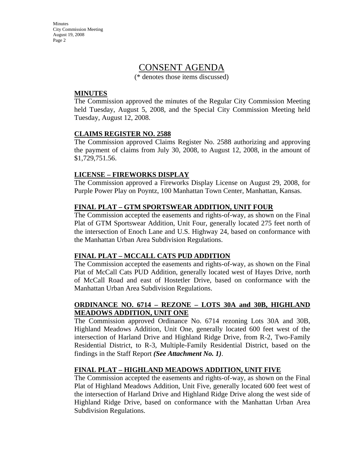Minutes City Commission Meeting August 19, 2008 Page 2

## CONSENT AGENDA

(\* denotes those items discussed)

#### **MINUTES**

The Commission approved the minutes of the Regular City Commission Meeting held Tuesday, August 5, 2008, and the Special City Commission Meeting held Tuesday, August 12, 2008.

#### **CLAIMS REGISTER NO. 2588**

The Commission approved Claims Register No. 2588 authorizing and approving the payment of claims from July 30, 2008, to August 12, 2008, in the amount of \$1,729,751.56.

#### **LICENSE – FIREWORKS DISPLAY**

The Commission approved a Fireworks Display License on August 29, 2008, for Purple Power Play on Poyntz, 100 Manhattan Town Center, Manhattan, Kansas.

#### **FINAL PLAT – GTM SPORTSWEAR ADDITION, UNIT FOUR**

The Commission accepted the easements and rights-of-way, as shown on the Final Plat of GTM Sportswear Addition, Unit Four, generally located 275 feet north of the intersection of Enoch Lane and U.S. Highway 24, based on conformance with the Manhattan Urban Area Subdivision Regulations.

#### **FINAL PLAT – MCCALL CATS PUD ADDITION**

The Commission accepted the easements and rights-of-way, as shown on the Final Plat of McCall Cats PUD Addition, generally located west of Hayes Drive, north of McCall Road and east of Hostetler Drive, based on conformance with the Manhattan Urban Area Subdivision Regulations.

#### **ORDINANCE NO. 6714 – REZONE – LOTS 30A and 30B, HIGHLAND MEADOWS ADDITION, UNIT ONE**

The Commission approved Ordinance No. 6714 rezoning Lots 30A and 30B, Highland Meadows Addition, Unit One, generally located 600 feet west of the intersection of Harland Drive and Highland Ridge Drive, from R-2, Two-Family Residential District, to R-3, Multiple-Family Residential District, based on the findings in the Staff Report *(See Attachment No. 1)*.

#### **FINAL PLAT – HIGHLAND MEADOWS ADDITION, UNIT FIVE**

The Commission accepted the easements and rights-of-way, as shown on the Final Plat of Highland Meadows Addition, Unit Five, generally located 600 feet west of the intersection of Harland Drive and Highland Ridge Drive along the west side of Highland Ridge Drive, based on conformance with the Manhattan Urban Area Subdivision Regulations.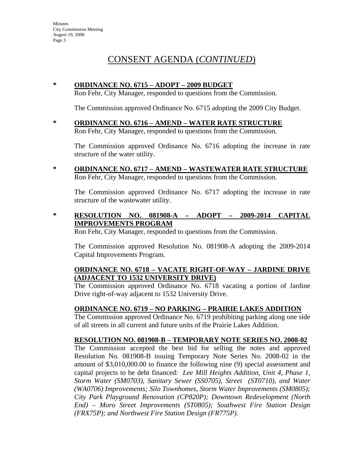# CONSENT AGENDA (*CONTINUED*)

#### **\* ORDINANCE NO. 6715 – ADOPT – 2009 BUDGET**

Ron Fehr, City Manager, responded to questions from the Commission.

The Commission approved Ordinance No. 6715 adopting the 2009 City Budget.

**\* ORDINANCE NO. 6716 – AMEND – WATER RATE STRUCTURE** Ron Fehr, City Manager, responded to questions from the Commission.

The Commission approved Ordinance No. 6716 adopting the increase in rate structure of the water utility.

**\* ORDINANCE NO. 6717 – AMEND – WASTEWATER RATE STRUCTURE** Ron Fehr, City Manager, responded to questions from the Commission.

The Commission approved Ordinance No. 6717 adopting the increase in rate structure of the wastewater utility.

**\* RESOLUTION NO. 081908-A – ADOPT – 2009-2014 CAPITAL IMPROVEMENTS PROGRAM**

Ron Fehr, City Manager, responded to questions from the Commission.

The Commission approved Resolution No. 081908-A adopting the 2009-2014 Capital Improvements Program.

#### **ORDINANCE NO. 6718 – VACATE RIGHT-OF-WAY – JARDINE DRIVE (ADJACENT TO 1532 UNIVERSITY DRIVE)**

The Commission approved Ordinance No. 6718 vacating a portion of Jardine Drive right-of-way adjacent to 1532 University Drive.

#### **ORDINANCE NO. 6719 – NO PARKING – PRAIRIE LAKES ADDITION**

The Commission approved Ordinance No. 6719 prohibiting parking along one side of all streets in all current and future units of the Prairie Lakes Addition.

#### **RESOLUTION NO. 081908-B – TEMPORARY NOTE SERIES NO. 2008-02**

The Commission accepted the best bid for selling the notes and approved Resolution No. 081908-B issuing Temporary Note Series No. 2008-02 in the amount of \$3,010,000.00 to finance the following nine (9) special assessment and capital projects to be debt financed: *Lee Mill Heights Addition, Unit 4, Phase 1, Storm Water (SM0703), Sanitary Sewer (SS0705), Street (ST0710), and Water (WA0706) Improvements; Silo Townhomes, Storm Water Improvements (SM0805); City Park Playground Renovation (CP820P); Downtown Redevelopment (North End) – Moro Street Improvements (ST0805); Southwest Fire Station Design (FRX75P); and Northwest Fire Station Design (FR775P).*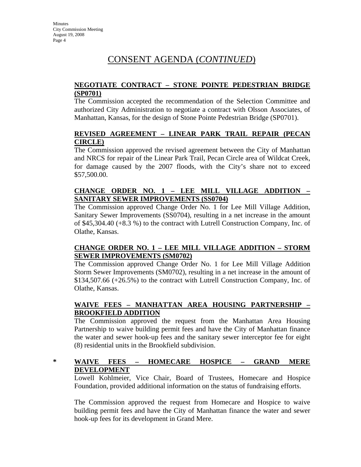# CONSENT AGENDA (*CONTINUED*)

#### **NEGOTIATE CONTRACT – STONE POINTE PEDESTRIAN BRIDGE (SP0701)**

The Commission accepted the recommendation of the Selection Committee and authorized City Administration to negotiate a contract with Olsson Associates, of Manhattan, Kansas, for the design of Stone Pointe Pedestrian Bridge (SP0701).

#### **REVISED AGREEMENT – LINEAR PARK TRAIL REPAIR (PECAN CIRCLE)**

The Commission approved the revised agreement between the City of Manhattan and NRCS for repair of the Linear Park Trail, Pecan Circle area of Wildcat Creek, for damage caused by the 2007 floods, with the City's share not to exceed \$57,500.00.

#### **CHANGE ORDER NO. 1 – LEE MILL VILLAGE ADDITION – SANITARY SEWER IMPROVEMENTS (SS0704)**

The Commission approved Change Order No. 1 for Lee Mill Village Addition, Sanitary Sewer Improvements (SS0704), resulting in a net increase in the amount of \$45,304.40 (+8.3 %) to the contract with Lutrell Construction Company, Inc. of Olathe, Kansas.

#### **CHANGE ORDER NO. 1 – LEE MILL VILLAGE ADDITION – STORM SEWER IMPROVEMENTS (SM0702)**

The Commission approved Change Order No. 1 for Lee Mill Village Addition Storm Sewer Improvements (SM0702), resulting in a net increase in the amount of \$134,507.66 (+26.5%) to the contract with Lutrell Construction Company, Inc. of Olathe, Kansas.

#### **WAIVE FEES – MANHATTAN AREA HOUSING PARTNERSHIP – BROOKFIELD ADDITION**

The Commission approved the request from the Manhattan Area Housing Partnership to waive building permit fees and have the City of Manhattan finance the water and sewer hook-up fees and the sanitary sewer interceptor fee for eight (8) residential units in the Brookfield subdivision.

### **\* WAIVE FEES – HOMECARE HOSPICE – GRAND MERE DEVELOPMENT**

Lowell Kohlmeier, Vice Chair, Board of Trustees, Homecare and Hospice Foundation, provided additional information on the status of fundraising efforts.

The Commission approved the request from Homecare and Hospice to waive building permit fees and have the City of Manhattan finance the water and sewer hook-up fees for its development in Grand Mere.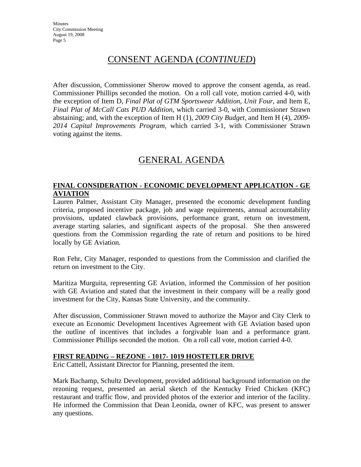# CONSENT AGENDA (*CONTINUED*)

After discussion, Commissioner Sherow moved to approve the consent agenda, as read. Commissioner Phillips seconded the motion. On a roll call vote, motion carried 4-0, with the exception of Item D, *Final Plat of GTM Sportswear Addition, Unit Four*, and Item E, *Final Plat of McCall Cats PUD Addition*, which carried 3-0, with Commissioner Strawn abstaining; and, with the exception of Item H (1), *2009 City Budget*, and Item H (4), *2009- 2014 Capital Improvements Program*, which carried 3-1, with Commissioner Strawn voting against the items.

# GENERAL AGENDA

#### **FINAL CONSIDERATION - ECONOMIC DEVELOPMENT APPLICATION - GE AVIATION**

Lauren Palmer, Assistant City Manager, presented the economic development funding criteria, proposed incentive package, job and wage requirements, annual accountability provisions, updated clawback provisions, performance grant, return on investment, average starting salaries, and significant aspects of the proposal. She then answered questions from the Commission regarding the rate of return and positions to be hired locally by GE Aviation.

Ron Fehr, City Manager, responded to questions from the Commission and clarified the return on investment to the City.

Maritiza Murguita, representing GE Aviation, informed the Commission of her position with GE Aviation and stated that the investment in their company will be a really good investment for the City, Kansas State University, and the community.

After discussion, Commissioner Strawn moved to authorize the Mayor and City Clerk to execute an Economic Development Incentives Agreement with GE Aviation based upon the outline of incentives that includes a forgivable loan and a performance grant. Commissioner Phillips seconded the motion. On a roll call vote, motion carried 4-0.

#### **FIRST READING – REZONE - 1017- 1019 HOSTETLER DRIVE**

Eric Cattell, Assistant Director for Planning, presented the item.

Mark Bachamp, Schultz Development, provided additional background information on the rezoning request, presented an aerial sketch of the Kentucky Fried Chicken (KFC) restaurant and traffic flow, and provided photos of the exterior and interior of the facility. He informed the Commission that Dean Leonida, owner of KFC, was present to answer any questions.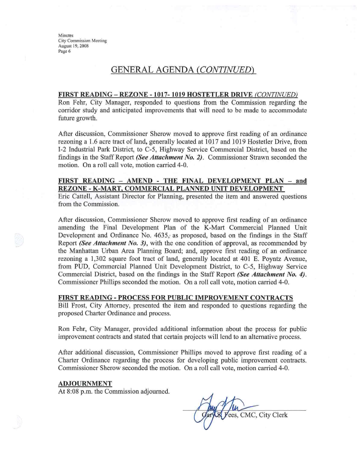Minutes **City Commission Meeting** August 19, 2008 Page 6

### GENERAL AGENDA (CONTINUED)

#### FIRST READING - REZONE - 1017-1019 HOSTETLER DRIVE (CONTINUED)

Ron Fehr, City Manager, responded to questions from the Commission regarding the corridor study and anticipated improvements that will need to be made to accommodate future growth.

After discussion, Commissioner Sherow moved to approve first reading of an ordinance rezoning a 1.6 acre tract of land, generally located at 1017 and 1019 Hostetler Drive, from I-2 Industrial Park District, to C-5, Highway Service Commercial District, based on the findings in the Staff Report (See Attachment No. 2). Commissioner Strawn seconded the motion. On a roll call vote, motion carried 4-0.

#### FIRST READING - AMEND - THE FINAL DEVELOPMENT PLAN - and REZONE - K-MART, COMMERCIAL PLANNED UNIT DEVELOPMENT

Eric Cattell, Assistant Director for Planning, presented the item and answered questions from the Commission.

After discussion, Commissioner Sherow moved to approve first reading of an ordinance amending the Final Development Plan of the K-Mart Commercial Planned Unit Development and Ordinance No. 4635, as proposed, based on the findings in the Staff Report (See Attachment No. 3), with the one condition of approval, as recommended by the Manhattan Urban Area Planning Board; and, approve first reading of an ordinance rezoning a 1,302 square foot tract of land, generally located at 401 E. Poyntz Avenue, from PUD, Commercial Planned Unit Development District, to C-5, Highway Service Commercial District, based on the findings in the Staff Report (See Attachment No. 4). Commissioner Phillips seconded the motion. On a roll call vote, motion carried 4-0.

#### FIRST READING - PROCESS FOR PUBLIC IMPROVEMENT CONTRACTS

Bill Frost, City Attorney, presented the item and responded to questions regarding the proposed Charter Ordinance and process.

Ron Fehr, City Manager, provided additional information about the process for public improvement contracts and stated that certain projects will lend to an alternative process.

After additional discussion, Commissioner Phillips moved to approve first reading of a Charter Ordinance regarding the process for developing public improvement contracts. Commissioner Sherow seconded the motion. On a roll call vote, motion carried 4-0.

#### **ADJOURNMENT**

At 8:08 p.m. the Commission adjourned.

ees, CMC, City Clerk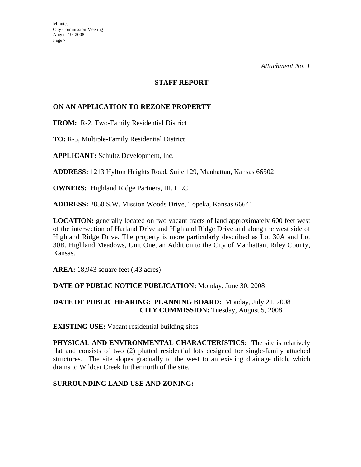#### **STAFF REPORT**

#### **ON AN APPLICATION TO REZONE PROPERTY**

**FROM:** R-2, Two-Family Residential District

**TO:** R-3, Multiple-Family Residential District

**APPLICANT:** Schultz Development, Inc.

**ADDRESS:** 1213 Hylton Heights Road, Suite 129, Manhattan, Kansas 66502

**OWNERS:** Highland Ridge Partners, III, LLC

**ADDRESS:** 2850 S.W. Mission Woods Drive, Topeka, Kansas 66641

**LOCATION:** generally located on two vacant tracts of land approximately 600 feet west of the intersection of Harland Drive and Highland Ridge Drive and along the west side of Highland Ridge Drive. The property is more particularly described as Lot 30A and Lot 30B, Highland Meadows, Unit One, an Addition to the City of Manhattan, Riley County, Kansas.

**AREA:** 18,943 square feet (.43 acres)

#### **DATE OF PUBLIC NOTICE PUBLICATION:** Monday, June 30, 2008

#### **DATE OF PUBLIC HEARING: PLANNING BOARD:** Monday, July 21, 2008 **CITY COMMISSION:** Tuesday, August 5, 2008

**EXISTING USE:** Vacant residential building sites

**PHYSICAL AND ENVIRONMENTAL CHARACTERISTICS:** The site is relatively flat and consists of two (2) platted residential lots designed for single-family attached structures. The site slopes gradually to the west to an existing drainage ditch, which drains to Wildcat Creek further north of the site.

#### **SURROUNDING LAND USE AND ZONING:**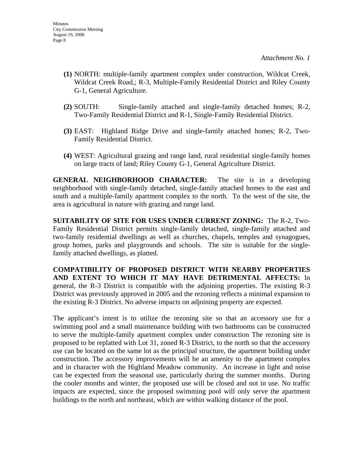- **(1)** NORTH: multiple-family apartment complex under construction, Wildcat Creek, Wildcat Creek Road,; R-3, Multiple-Family Residential District and Riley County G-1, General Agriculture.
- **(2)** SOUTH: Single-family attached and single-family detached homes; R-2, Two-Family Residential District and R-1, Single-Family Residential District.
- **(3)** EAST: Highland Ridge Drive and single-family attached homes; R-2, Two-Family Residential District.
- **(4)** WEST: Agricultural grazing and range land, rural residential single-family homes on large tracts of land; Riley County G-1, General Agriculture District.

**GENERAL NEIGHBORHOOD CHARACTER:** The site is in a developing neighborhood with single-family detached, single-family attached homes to the east and south and a multiple-family apartment complex to the north. To the west of the site, the area is agricultural in nature with grazing and range land.

**SUITABILITY OF SITE FOR USES UNDER CURRENT ZONING:** The R-2, Two-Family Residential District permits single-family detached, single-family attached and two-family residential dwellings as well as churches, chapels, temples and synagogues, group homes, parks and playgrounds and schools. The site is suitable for the singlefamily attached dwellings, as platted.

**COMPATIBILITY OF PROPOSED DISTRICT WITH NEARBY PROPERTIES AND EXTENT TO WHICH IT MAY HAVE DETRIMENTAL AFFECTS:** In general, the R-3 District is compatible with the adjoining properties. The existing R-3 District was previously approved in 2005 and the rezoning reflects a minimal expansion to the existing R-3 District. No adverse impacts on adjoining property are expected.

The applicant's intent is to utilize the rezoning site so that an accessory use for a swimming pool and a small maintenance building with two bathrooms can be constructed to serve the multiple-family apartment complex under construction The rezoning site is proposed to be replatted with Lot 31, zoned R-3 District, to the north so that the accessory use can be located on the same lot as the principal structure, the apartment building under construction. The accessory improvements will be an amenity to the apartment complex and in character with the Highland Meadow community. An increase in light and noise can be expected from the seasonal use, particularly during the summer months. During the cooler months and winter, the proposed use will be closed and not in use. No traffic impacts are expected, since the proposed swimming pool will only serve the apartment buildings to the north and northeast, which are within walking distance of the pool.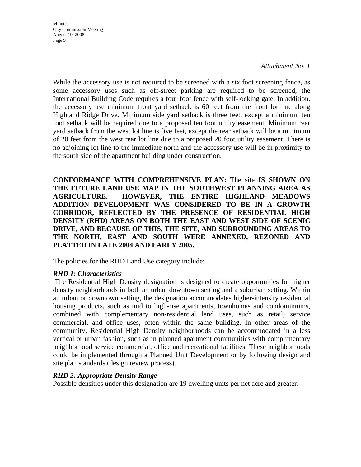Minutes City Commission Meeting August 19, 2008 Page 9

#### *Attachment No. 1*

While the accessory use is not required to be screened with a six foot screening fence, as some accessory uses such as off-street parking are required to be screened, the International Building Code requires a four foot fence with self-locking gate. In addition, the accessory use minimum front yard setback is 60 feet from the front lot line along Highland Ridge Drive. Minimum side yard setback is three feet, except a minimum ten foot setback will be required due to a proposed ten foot utility easement. Minimum rear yard setback from the west lot line is five feet, except the rear setback will be a minimum of 20 feet from the west rear lot line due to a proposed 20 foot utility easement. There is no adjoining lot line to the immediate north and the accessory use will be in proximity to the south side of the apartment building under construction.

**CONFORMANCE WITH COMPREHENSIVE PLAN:** The site **IS SHOWN ON THE FUTURE LAND USE MAP IN THE SOUTHWEST PLANNING AREA AS AGRICULTURE. HOWEVER, THE ENTIRE HIGHLAND MEADOWS ADDITION DEVELOPMENT WAS CONSIDERED TO BE IN A GROWTH CORRIDOR, REFLECTED BY THE PRESENCE OF RESIDENTIAL HIGH DENSITY (RHD) AREAS ON BOTH THE EAST AND WEST SIDE OF SCENIC DRIVE, AND BECAUSE OF THIS, THE SITE, AND SURROUNDING AREAS TO THE NORTH, EAST AND SOUTH WERE ANNEXED, REZONED AND PLATTED IN LATE 2004 AND EARLY 2005.** 

The policies for the RHD Land Use category include:

#### *RHD 1: Characteristics*

 The Residential High Density designation is designed to create opportunities for higher density neighborhoods in both an urban downtown setting and a suburban setting. Within an urban or downtown setting, the designation accommodates higher-intensity residential housing products, such as mid to high-rise apartments, townhomes and condominiums, combined with complementary non-residential land uses, such as retail, service commercial, and office uses, often within the same building. In other areas of the community, Residential High Density neighborhoods can be accommodated in a less vertical or urban fashion, such as in planned apartment communities with complimentary neighborhood service commercial, office and recreational facilities. These neighborhoods could be implemented through a Planned Unit Development or by following design and site plan standards (design review process).

#### *RHD 2: Appropriate Density Range*

Possible densities under this designation are 19 dwelling units per net acre and greater.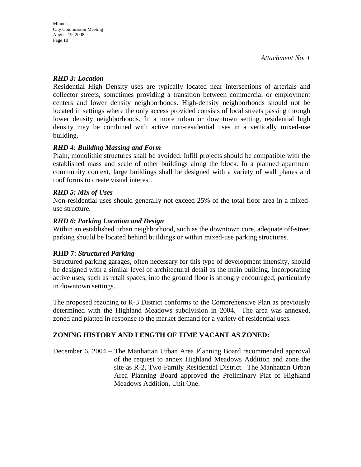#### *RHD 3: Location*

Residential High Density uses are typically located near intersections of arterials and collector streets, sometimes providing a transition between commercial or employment centers and lower density neighborhoods. High-density neighborhoods should not be located in settings where the only access provided consists of local streets passing through lower density neighborhoods. In a more urban or downtown setting, residential high density may be combined with active non-residential uses in a vertically mixed-use building.

#### *RHD 4: Building Massing and Form*

Plain, monolithic structures shall be avoided. Infill projects should be compatible with the established mass and scale of other buildings along the block. In a planned apartment community context, large buildings shall be designed with a variety of wall planes and roof forms to create visual interest.

#### *RHD 5: Mix of Uses*

Non-residential uses should generally not exceed 25% of the total floor area in a mixeduse structure.

#### *RHD 6: Parking Location and Design*

Within an established urban neighborhood, such as the downtown core, adequate off-street parking should be located behind buildings or within mixed-use parking structures.

#### **RHD 7:** *Structured Parking*

Structured parking garages, often necessary for this type of development intensity, should be designed with a similar level of architectural detail as the main building. Incorporating active uses, such as retail spaces, into the ground floor is strongly encouraged, particularly in downtown settings.

The proposed rezoning to R-3 District conforms to the Comprehensive Plan as previously determined with the Highland Meadows subdivision in 2004. The area was annexed, zoned and platted in response to the market demand for a variety of residential uses.

### **ZONING HISTORY AND LENGTH OF TIME VACANT AS ZONED:**

December 6, 2004 – The Manhattan Urban Area Planning Board recommended approval of the request to annex Highland Meadows Addition and zone the site as R-2, Two-Family Residential District. The Manhattan Urban Area Planning Board approved the Preliminary Plat of Highland Meadows Addition, Unit One.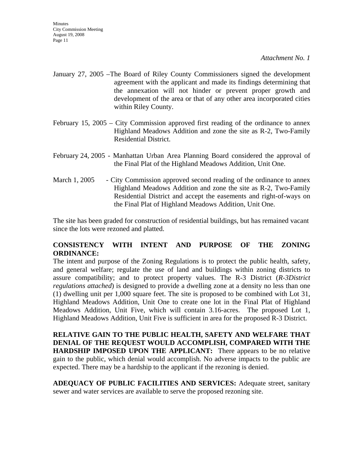- January 27, 2005 –The Board of Riley County Commissioners signed the development agreement with the applicant and made its findings determining that the annexation will not hinder or prevent proper growth and development of the area or that of any other area incorporated cities within Riley County.
- February 15, 2005 City Commission approved first reading of the ordinance to annex Highland Meadows Addition and zone the site as R-2, Two-Family Residential District.
- February 24, 2005 Manhattan Urban Area Planning Board considered the approval of the Final Plat of the Highland Meadows Addition, Unit One.
- March 1, 2005 City Commission approved second reading of the ordinance to annex Highland Meadows Addition and zone the site as R-2, Two-Family Residential District and accept the easements and right-of-ways on the Final Plat of Highland Meadows Addition, Unit One.

The site has been graded for construction of residential buildings, but has remained vacant since the lots were rezoned and platted.

#### **CONSISTENCY WITH INTENT AND PURPOSE OF THE ZONING ORDINANCE:**

The intent and purpose of the Zoning Regulations is to protect the public health, safety, and general welfare; regulate the use of land and buildings within zoning districts to assure compatibility; and to protect property values. The R-3 District (*R-3District regulations attached*) is designed to provide a dwelling zone at a density no less than one (1) dwelling unit per 1,000 square feet. The site is proposed to be combined with Lot 31, Highland Meadows Addition, Unit One to create one lot in the Final Plat of Highland Meadows Addition, Unit Five, which will contain 3.16-acres. The proposed Lot 1, Highland Meadows Addition, Unit Five is sufficient in area for the proposed R-3 District.

**RELATIVE GAIN TO THE PUBLIC HEALTH, SAFETY AND WELFARE THAT DENIAL OF THE REQUEST WOULD ACCOMPLISH, COMPARED WITH THE HARDSHIP IMPOSED UPON THE APPLICANT:** There appears to be no relative gain to the public, which denial would accomplish. No adverse impacts to the public are expected. There may be a hardship to the applicant if the rezoning is denied.

**ADEQUACY OF PUBLIC FACILITIES AND SERVICES:** Adequate street, sanitary sewer and water services are available to serve the proposed rezoning site.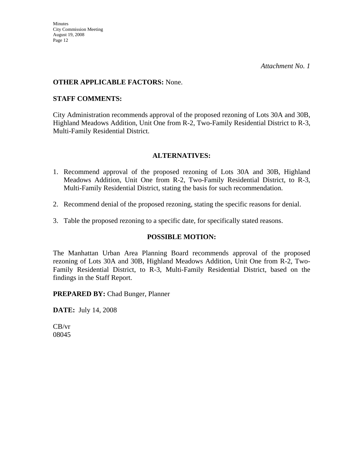#### **OTHER APPLICABLE FACTORS:** None.

#### **STAFF COMMENTS:**

City Administration recommends approval of the proposed rezoning of Lots 30A and 30B, Highland Meadows Addition, Unit One from R-2, Two-Family Residential District to R-3, Multi-Family Residential District.

#### **ALTERNATIVES:**

- 1. Recommend approval of the proposed rezoning of Lots 30A and 30B, Highland Meadows Addition, Unit One from R-2, Two-Family Residential District, to R-3, Multi-Family Residential District, stating the basis for such recommendation.
- 2. Recommend denial of the proposed rezoning, stating the specific reasons for denial.
- 3. Table the proposed rezoning to a specific date, for specifically stated reasons.

#### **POSSIBLE MOTION:**

The Manhattan Urban Area Planning Board recommends approval of the proposed rezoning of Lots 30A and 30B, Highland Meadows Addition, Unit One from R-2, Two-Family Residential District, to R-3, Multi-Family Residential District, based on the findings in the Staff Report.

**PREPARED BY:** Chad Bunger, Planner

**DATE:** July 14, 2008

CB/vr 08045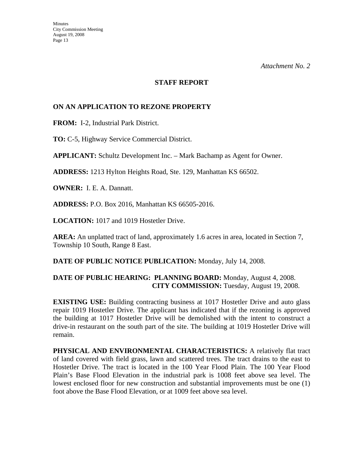#### **STAFF REPORT**

#### **ON AN APPLICATION TO REZONE PROPERTY**

**FROM:** I-2, Industrial Park District.

**TO:** C-5, Highway Service Commercial District.

**APPLICANT:** Schultz Development Inc. – Mark Bachamp as Agent for Owner.

**ADDRESS:** 1213 Hylton Heights Road, Ste. 129, Manhattan KS 66502.

**OWNER:** I. E. A. Dannatt.

**ADDRESS:** P.O. Box 2016, Manhattan KS 66505-2016.

**LOCATION:** 1017 and 1019 Hostetler Drive.

**AREA:** An unplatted tract of land, approximately 1.6 acres in area, located in Section 7, Township 10 South, Range 8 East.

**DATE OF PUBLIC NOTICE PUBLICATION:** Monday, July 14, 2008.

#### **DATE OF PUBLIC HEARING: PLANNING BOARD:** Monday, August 4, 2008. **CITY COMMISSION:** Tuesday, August 19, 2008.

**EXISTING USE:** Building contracting business at 1017 Hostetler Drive and auto glass repair 1019 Hostetler Drive. The applicant has indicated that if the rezoning is approved the building at 1017 Hostetler Drive will be demolished with the intent to construct a drive-in restaurant on the south part of the site. The building at 1019 Hostetler Drive will remain.

**PHYSICAL AND ENVIRONMENTAL CHARACTERISTICS:** A relatively flat tract of land covered with field grass, lawn and scattered trees. The tract drains to the east to Hostetler Drive. The tract is located in the 100 Year Flood Plain. The 100 Year Flood Plain's Base Flood Elevation in the industrial park is 1008 feet above sea level. The lowest enclosed floor for new construction and substantial improvements must be one (1) foot above the Base Flood Elevation, or at 1009 feet above sea level.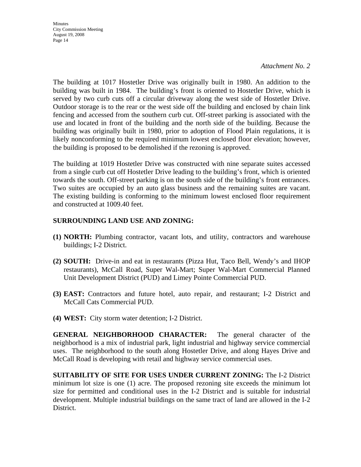**Minutes** City Commission Meeting August 19, 2008 Page 14

*Attachment No. 2*

The building at 1017 Hostetler Drive was originally built in 1980. An addition to the building was built in 1984. The building's front is oriented to Hostetler Drive, which is served by two curb cuts off a circular driveway along the west side of Hostetler Drive. Outdoor storage is to the rear or the west side off the building and enclosed by chain link fencing and accessed from the southern curb cut. Off-street parking is associated with the use and located in front of the building and the north side of the building. Because the building was originally built in 1980, prior to adoption of Flood Plain regulations, it is likely nonconforming to the required minimum lowest enclosed floor elevation; however, the building is proposed to be demolished if the rezoning is approved.

The building at 1019 Hostetler Drive was constructed with nine separate suites accessed from a single curb cut off Hostetler Drive leading to the building's front, which is oriented towards the south. Off-street parking is on the south side of the building's front entrances. Two suites are occupied by an auto glass business and the remaining suites are vacant. The existing building is conforming to the minimum lowest enclosed floor requirement and constructed at 1009.40 feet.

#### **SURROUNDING LAND USE AND ZONING:**

- **(1) NORTH:** Plumbing contractor, vacant lots, and utility, contractors and warehouse buildings; I-2 District.
- **(2) SOUTH:** Drive-in and eat in restaurants (Pizza Hut, Taco Bell, Wendy's and IHOP restaurants), McCall Road, Super Wal-Mart; Super Wal-Mart Commercial Planned Unit Development District (PUD) and Limey Pointe Commercial PUD.
- **(3) EAST:** Contractors and future hotel, auto repair, and restaurant; I-2 District and McCall Cats Commercial PUD.
- **(4) WEST:** City storm water detention; I-2 District.

**GENERAL NEIGHBORHOOD CHARACTER:** The general character of the neighborhood is a mix of industrial park, light industrial and highway service commercial uses. The neighborhood to the south along Hostetler Drive, and along Hayes Drive and McCall Road is developing with retail and highway service commercial uses.

**SUITABILITY OF SITE FOR USES UNDER CURRENT ZONING:** The I-2 District minimum lot size is one (1) acre. The proposed rezoning site exceeds the minimum lot size for permitted and conditional uses in the I-2 District and is suitable for industrial development. Multiple industrial buildings on the same tract of land are allowed in the I-2 District.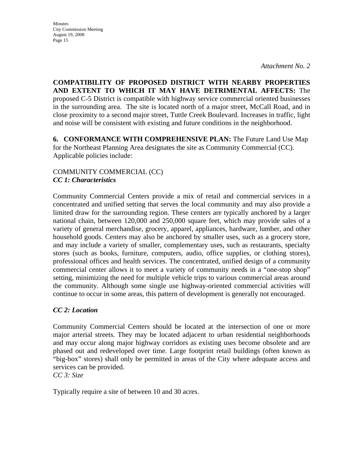**COMPATIBILITY OF PROPOSED DISTRICT WITH NEARBY PROPERTIES AND EXTENT TO WHICH IT MAY HAVE DETRIMENTAL AFFECTS:** The proposed C-5 District is compatible with highway service commercial oriented businesses in the surrounding area. The site is located north of a major street, McCall Road, and in close proximity to a second major street, Tuttle Creek Boulevard. Increases in traffic, light and noise will be consistent with existing and future conditions in the neighborhood.

**6. CONFORMANCE WITH COMPREHENSIVE PLAN:** The Future Land Use Map for the Northeast Planning Area designates the site as Community Commercial (CC). Applicable policies include:

#### COMMUNITY COMMERCIAL (CC) *CC 1: Characteristics*

Community Commercial Centers provide a mix of retail and commercial services in a concentrated and unified setting that serves the local community and may also provide a limited draw for the surrounding region. These centers are typically anchored by a larger national chain, between 120,000 and 250,000 square feet, which may provide sales of a variety of general merchandise, grocery, apparel, appliances, hardware, lumber, and other household goods. Centers may also be anchored by smaller uses, such as a grocery store, and may include a variety of smaller, complementary uses, such as restaurants, specialty stores (such as books, furniture, computers, audio, office supplies, or clothing stores), professional offices and health services. The concentrated, unified design of a community commercial center allows it to meet a variety of community needs in a "one-stop shop" setting, minimizing the need for multiple vehicle trips to various commercial areas around the community. Although some single use highway-oriented commercial activities will continue to occur in some areas, this pattern of development is generally not encouraged.

### *CC 2: Location*

Community Commercial Centers should be located at the intersection of one or more major arterial streets. They may be located adjacent to urban residential neighborhoods and may occur along major highway corridors as existing uses become obsolete and are phased out and redeveloped over time. Large footprint retail buildings (often known as "big-box" stores) shall only be permitted in areas of the City where adequate access and services can be provided.

*CC 3: Size* 

Typically require a site of between 10 and 30 acres.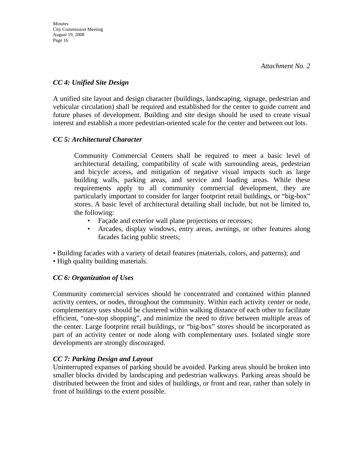#### *CC 4: Unified Site Design*

A unified site layout and design character (buildings, landscaping, signage, pedestrian and vehicular circulation) shall be required and established for the center to guide current and future phases of development. Building and site design should be used to create visual interest and establish a more pedestrian-oriented scale for the center and between out lots.

#### *CC 5: Architectural Character*

 Community Commercial Centers shall be required to meet a basic level of architectural detailing, compatibility of scale with surrounding areas, pedestrian and bicycle access, and mitigation of negative visual impacts such as large building walls, parking areas, and service and loading areas. While these requirements apply to all community commercial development, they are particularly important to consider for larger footprint retail buildings, or "big-box" stores. A basic level of architectural detailing shall include, but not be limited to, the following:

- Façade and exterior wall plane projections or recesses;
- Arcades, display windows, entry areas, awnings, or other features along facades facing public streets;

• Building facades with a variety of detail features (materials, colors, and patterns); and

• High quality building materials.

### *CC 6: Organization of Uses*

Community commercial services should be concentrated and contained within planned activity centers, or nodes, throughout the community. Within each activity center or node, complementary uses should be clustered within walking distance of each other to facilitate efficient, "one-stop shopping", and minimize the need to drive between multiple areas of the center. Large footprint retail buildings, or "big-box" stores should be incorporated as part of an activity center or node along with complementary uses. Isolated single store developments are strongly discouraged.

### *CC 7: Parking Design and Layout*

Uninterrupted expanses of parking should be avoided. Parking areas should be broken into smaller blocks divided by landscaping and pedestrian walkways. Parking areas should be distributed between the front and sides of buildings, or front and rear, rather than solely in front of buildings to the extent possible.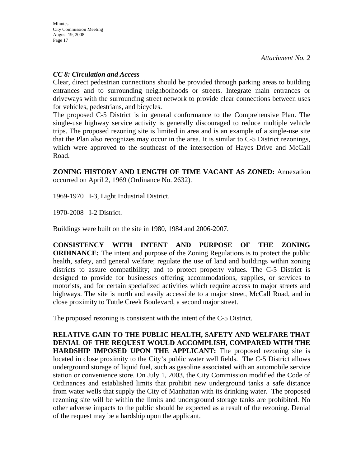#### *CC 8: Circulation and Access*

Clear, direct pedestrian connections should be provided through parking areas to building entrances and to surrounding neighborhoods or streets. Integrate main entrances or driveways with the surrounding street network to provide clear connections between uses for vehicles, pedestrians, and bicycles.

The proposed C-5 District is in general conformance to the Comprehensive Plan. The single-use highway service activity is generally discouraged to reduce multiple vehicle trips. The proposed rezoning site is limited in area and is an example of a single-use site that the Plan also recognizes may occur in the area. It is similar to C-5 District rezonings, which were approved to the southeast of the intersection of Hayes Drive and McCall Road.

**ZONING HISTORY AND LENGTH OF TIME VACANT AS ZONED:** Annexation occurred on April 2, 1969 (Ordinance No. 2632).

1969-1970 I-3, Light Industrial District.

1970-2008 I-2 District.

Buildings were built on the site in 1980, 1984 and 2006-2007.

**CONSISTENCY WITH INTENT AND PURPOSE OF THE ZONING ORDINANCE:** The intent and purpose of the Zoning Regulations is to protect the public health, safety, and general welfare; regulate the use of land and buildings within zoning districts to assure compatibility; and to protect property values. The C-5 District is designed to provide for businesses offering accommodations, supplies, or services to motorists, and for certain specialized activities which require access to major streets and highways. The site is north and easily accessible to a major street, McCall Road, and in close proximity to Tuttle Creek Boulevard, a second major street.

The proposed rezoning is consistent with the intent of the C-5 District.

**RELATIVE GAIN TO THE PUBLIC HEALTH, SAFETY AND WELFARE THAT DENIAL OF THE REQUEST WOULD ACCOMPLISH, COMPARED WITH THE HARDSHIP IMPOSED UPON THE APPLICANT:** The proposed rezoning site is located in close proximity to the City's public water well fields. The C-5 District allows underground storage of liquid fuel, such as gasoline associated with an automobile service station or convenience store. On July 1, 2003, the City Commission modified the Code of Ordinances and established limits that prohibit new underground tanks a safe distance from water wells that supply the City of Manhattan with its drinking water. The proposed rezoning site will be within the limits and underground storage tanks are prohibited. No other adverse impacts to the public should be expected as a result of the rezoning. Denial of the request may be a hardship upon the applicant.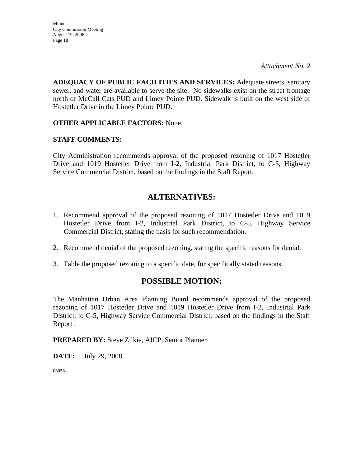**ADEQUACY OF PUBLIC FACILITIES AND SERVICES:** Adequate streets, sanitary sewer, and water are available to serve the site. No sidewalks exist on the street frontage north of McCall Cats PUD and Limey Pointe PUD. Sidewalk is built on the west side of Hostetler Drive in the Limey Pointe PUD.

#### **OTHER APPLICABLE FACTORS:** None.

#### **STAFF COMMENTS:**

City Administration recommends approval of the proposed rezoning of 1017 Hostetler Drive and 1019 Hostetler Drive from I-2, Industrial Park District, to C-5, Highway Service Commercial District, based on the findings in the Staff Report.

## **ALTERNATIVES:**

- 1. Recommend approval of the proposed rezoning of 1017 Hostetler Drive and 1019 Hostetler Drive from I-2, Industrial Park District, to C-5, Highway Service Commercial District, stating the basis for such recommendation.
- 2. Recommend denial of the proposed rezoning, stating the specific reasons for denial.
- 3. Table the proposed rezoning to a specific date, for specifically stated reasons.

### **POSSIBLE MOTION:**

The Manhattan Urban Area Planning Board recommends approval of the proposed rezoning of 1017 Hostetler Drive and 1019 Hostetler Drive from I-2, Industrial Park District, to C-5, Highway Service Commercial District, based on the findings in the Staff Report .

**PREPARED BY:** Steve Zilkie, AICP, Senior Planner

**DATE:** July 29, 2008

08056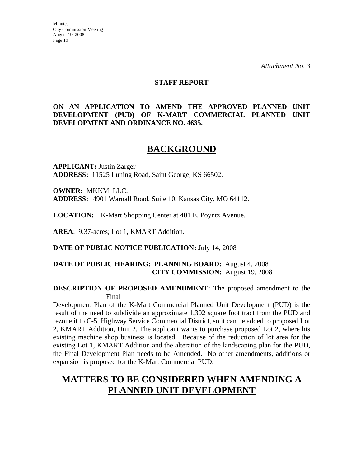#### **STAFF REPORT**

#### **ON AN APPLICATION TO AMEND THE APPROVED PLANNED UNIT DEVELOPMENT (PUD) OF K-MART COMMERCIAL PLANNED UNIT DEVELOPMENT AND ORDINANCE NO. 4635.**

# **BACKGROUND**

**APPLICANT:** Justin Zarger **ADDRESS:** 11525 Luning Road, Saint George, KS 66502.

**OWNER:** MKKM, LLC. **ADDRESS:** 4901 Warnall Road, Suite 10, Kansas City, MO 64112.

**LOCATION:** K-Mart Shopping Center at 401 E. Poyntz Avenue.

**AREA**: 9.37-acres; Lot 1, KMART Addition.

**DATE OF PUBLIC NOTICE PUBLICATION:** July 14, 2008

#### **DATE OF PUBLIC HEARING: PLANNING BOARD:** August 4, 2008 **CITY COMMISSION:** August 19, 2008

#### **DESCRIPTION OF PROPOSED AMENDMENT:** The proposed amendment to the Final

Development Plan of the K-Mart Commercial Planned Unit Development (PUD) is the result of the need to subdivide an approximate 1,302 square foot tract from the PUD and rezone it to C-5, Highway Service Commercial District, so it can be added to proposed Lot 2, KMART Addition, Unit 2. The applicant wants to purchase proposed Lot 2, where his existing machine shop business is located. Because of the reduction of lot area for the existing Lot 1, KMART Addition and the alteration of the landscaping plan for the PUD, the Final Development Plan needs to be Amended. No other amendments, additions or expansion is proposed for the K-Mart Commercial PUD.

# **MATTERS TO BE CONSIDERED WHEN AMENDING A PLANNED UNIT DEVELOPMENT**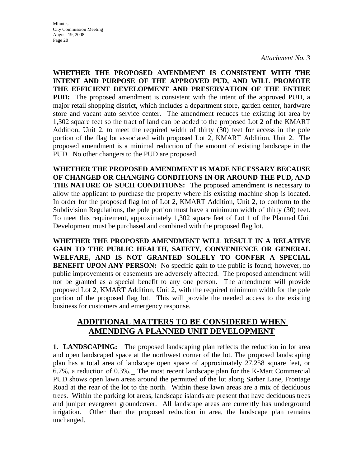**WHETHER THE PROPOSED AMENDMENT IS CONSISTENT WITH THE INTENT AND PURPOSE OF THE APPROVED PUD, AND WILL PROMOTE THE EFFICIENT DEVELOPMENT AND PRESERVATION OF THE ENTIRE PUD:** The proposed amendment is consistent with the intent of the approved PUD, a major retail shopping district, which includes a department store, garden center, hardware store and vacant auto service center. The amendment reduces the existing lot area by 1,302 square feet so the tract of land can be added to the proposed Lot 2 of the KMART Addition, Unit 2, to meet the required width of thirty (30) feet for access in the pole portion of the flag lot associated with proposed Lot 2, KMART Addition, Unit 2. The proposed amendment is a minimal reduction of the amount of existing landscape in the PUD. No other changers to the PUD are proposed.

**WHETHER THE PROPOSED AMENDMENT IS MADE NECESSARY BECAUSE OF CHANGED OR CHANGING CONDITIONS IN OR AROUND THE PUD, AND THE NATURE OF SUCH CONDITIONS:** The proposed amendment is necessary to allow the applicant to purchase the property where his existing machine shop is located. In order for the proposed flag lot of Lot 2, KMART Addition, Unit 2, to conform to the Subdivision Regulations, the pole portion must have a minimum width of thirty (30) feet. To meet this requirement, approximately 1,302 square feet of Lot 1 of the Planned Unit Development must be purchased and combined with the proposed flag lot.

**WHETHER THE PROPOSED AMENDMENT WILL RESULT IN A RELATIVE GAIN TO THE PUBLIC HEALTH, SAFETY, CONVENIENCE OR GENERAL WELFARE, AND IS NOT GRANTED SOLELY TO CONFER A SPECIAL BENEFIT UPON ANY PERSON:** No specific gain to the public is found; however, no public improvements or easements are adversely affected. The proposed amendment will not be granted as a special benefit to any one person. The amendment will provide proposed Lot 2, KMART Addition, Unit 2, with the required minimum width for the pole portion of the proposed flag lot. This will provide the needed access to the existing business for customers and emergency response.

### **ADDITIONAL MATTERS TO BE CONSIDERED WHEN AMENDING A PLANNED UNIT DEVELOPMENT**

**1. LANDSCAPING:** The proposed landscaping plan reflects the reduction in lot area and open landscaped space at the northwest corner of the lot. The proposed landscaping plan has a total area of landscape open space of approximately 27,258 square feet, or 6.7%, a reduction of 0.3%. The most recent landscape plan for the K-Mart Commercial PUD shows open lawn areas around the permitted of the lot along Sarber Lane, Frontage Road at the rear of the lot to the north. Within these lawn areas are a mix of deciduous trees. Within the parking lot areas, landscape islands are present that have deciduous trees and juniper evergreen groundcover. All landscape areas are currently has underground irrigation. Other than the proposed reduction in area, the landscape plan remains unchanged.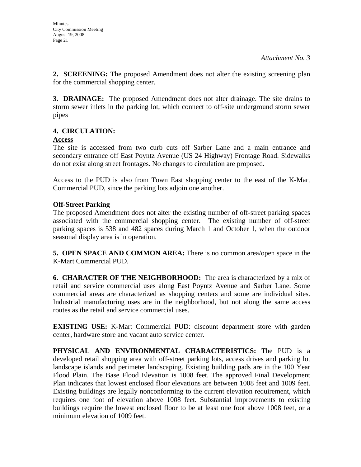**2. SCREENING:** The proposed Amendment does not alter the existing screening plan for the commercial shopping center.

**3. DRAINAGE:** The proposed Amendment does not alter drainage. The site drains to storm sewer inlets in the parking lot, which connect to off-site underground storm sewer pipes

### **4. CIRCULATION:**

#### **Access**

The site is accessed from two curb cuts off Sarber Lane and a main entrance and secondary entrance off East Poyntz Avenue (US 24 Highway) Frontage Road. Sidewalks do not exist along street frontages. No changes to circulation are proposed.

Access to the PUD is also from Town East shopping center to the east of the K-Mart Commercial PUD, since the parking lots adjoin one another.

### **Off-Street Parking**

The proposed Amendment does not alter the existing number of off-street parking spaces associated with the commercial shopping center. The existing number of off-street parking spaces is 538 and 482 spaces during March 1 and October 1, when the outdoor seasonal display area is in operation.

**5. OPEN SPACE AND COMMON AREA:** There is no common area/open space in the K-Mart Commercial PUD.

**6. CHARACTER OF THE NEIGHBORHOOD:** The area is characterized by a mix of retail and service commercial uses along East Poyntz Avenue and Sarber Lane. Some commercial areas are characterized as shopping centers and some are individual sites. Industrial manufacturing uses are in the neighborhood, but not along the same access routes as the retail and service commercial uses.

**EXISTING USE:** K-Mart Commercial PUD: discount department store with garden center, hardware store and vacant auto service center.

**PHYSICAL AND ENVIRONMENTAL CHARACTERISTICS:** The PUD is a developed retail shopping area with off-street parking lots, access drives and parking lot landscape islands and perimeter landscaping. Existing building pads are in the 100 Year Flood Plain. The Base Flood Elevation is 1008 feet. The approved Final Development Plan indicates that lowest enclosed floor elevations are between 1008 feet and 1009 feet. Existing buildings are legally nonconforming to the current elevation requirement, which requires one foot of elevation above 1008 feet. Substantial improvements to existing buildings require the lowest enclosed floor to be at least one foot above 1008 feet, or a minimum elevation of 1009 feet.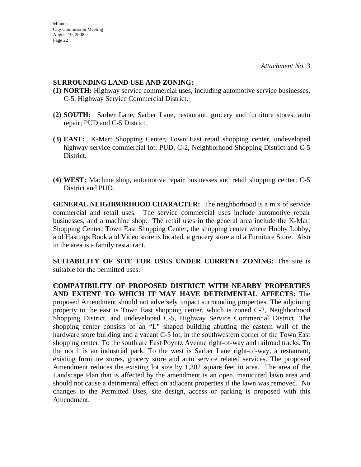#### **SURROUNDING LAND USE AND ZONING:**

- **(1) NORTH:** Highway service commercial uses, including automotive service businesses, C-5, Highway Service Commercial District.
- **(2) SOUTH:** Sarber Lane, Sarber Lane, restaurant, grocery and furniture stores, auto repair; PUD and C-5 District.
- **(3) EAST:** K-Mart Shopping Center, Town East retail shopping center, undeveloped highway service commercial lot: PUD, C-2, Neighborhood Shopping District and C-5 District.
- **(4) WEST:** Machine shop, automotive repair businesses and retail shopping center; C-5 District and PUD.

**GENERAL NEIGHBORHOOD CHARACTER:** The neighborhood is a mix of service commercial and retail uses. The service commercial uses include automotive repair businesses, and a machine shop. The retail uses in the general area include the K-Mart Shopping Center, Town East Shopping Center, the shopping center where Hobby Lobby, and Hastings Book and Video store is located, a grocery store and a Furniture Store. Also in the area is a family restaurant.

**SUITABILITY OF SITE FOR USES UNDER CURRENT ZONING:** The site is suitable for the permitted uses.

**COMPATIBILITY OF PROPOSED DISTRICT WITH NEARBY PROPERTIES AND EXTENT TO WHICH IT MAY HAVE DETRIMENTAL AFFECTS:** The proposed Amendment should not adversely impact surrounding properties. The adjoining property to the east is Town East shopping center, which is zoned C-2, Neighborhood Shopping District, and undeveloped C-5, Highway Service Commercial District. The shopping center consists of an "L" shaped building abutting the eastern wall of the hardware store building and a vacant C-5 lot, in the southwestern corner of the Town East shopping center. To the south are East Poyntz Avenue right-of-way and railroad tracks. To the north is an industrial park. To the west is Sarber Lane right-of-way, a restaurant, existing furniture stores, grocery store and auto service related services. The proposed Amendment reduces the existing lot size by 1,302 square feet in area. The area of the Landscape Plan that is affected by the amendment is an open, manicured lawn area and should not cause a detrimental effect on adjacent properties if the lawn was removed. No changes to the Permitted Uses, site design, access or parking is proposed with this Amendment.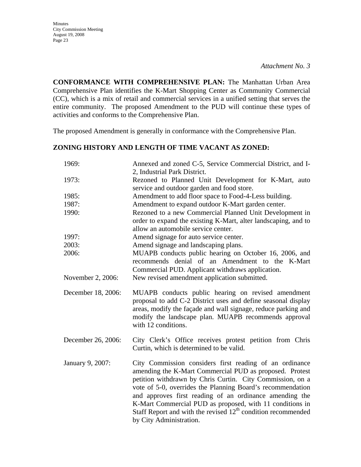Minutes City Commission Meeting August 19, 2008 Page 23

**CONFORMANCE WITH COMPREHENSIVE PLAN:** The Manhattan Urban Area Comprehensive Plan identifies the K-Mart Shopping Center as Community Commercial (CC), which is a mix of retail and commercial services in a unified setting that serves the entire community. The proposed Amendment to the PUD will continue these types of activities and conforms to the Comprehensive Plan.

The proposed Amendment is generally in conformance with the Comprehensive Plan.

#### **ZONING HISTORY AND LENGTH OF TIME VACANT AS ZONED:**

| 1969:              | Annexed and zoned C-5, Service Commercial District, and I-<br>2, Industrial Park District.                                                                                                                                                                                                                                                                                                                                                                        |
|--------------------|-------------------------------------------------------------------------------------------------------------------------------------------------------------------------------------------------------------------------------------------------------------------------------------------------------------------------------------------------------------------------------------------------------------------------------------------------------------------|
| 1973:              | Rezoned to Planned Unit Development for K-Mart, auto<br>service and outdoor garden and food store.                                                                                                                                                                                                                                                                                                                                                                |
| 1985:              | Amendment to add floor space to Food-4-Less building.                                                                                                                                                                                                                                                                                                                                                                                                             |
| 1987:              | Amendment to expand outdoor K-Mart garden center.                                                                                                                                                                                                                                                                                                                                                                                                                 |
| 1990:              | Rezoned to a new Commercial Planned Unit Development in<br>order to expand the existing K-Mart, alter landscaping, and to<br>allow an automobile service center.                                                                                                                                                                                                                                                                                                  |
| 1997:              | Amend signage for auto service center.                                                                                                                                                                                                                                                                                                                                                                                                                            |
| 2003:              | Amend signage and landscaping plans.                                                                                                                                                                                                                                                                                                                                                                                                                              |
| 2006:              | MUAPB conducts public hearing on October 16, 2006, and<br>recommends denial of an Amendment to the K-Mart<br>Commercial PUD. Applicant withdraws application.                                                                                                                                                                                                                                                                                                     |
| November 2, 2006:  | New revised amendment application submitted.                                                                                                                                                                                                                                                                                                                                                                                                                      |
| December 18, 2006: | MUAPB conducts public hearing on revised amendment<br>proposal to add C-2 District uses and define seasonal display<br>areas, modify the façade and wall signage, reduce parking and<br>modify the landscape plan. MUAPB recommends approval<br>with 12 conditions.                                                                                                                                                                                               |
| December 26, 2006: | City Clerk's Office receives protest petition from Chris<br>Curtin, which is determined to be valid.                                                                                                                                                                                                                                                                                                                                                              |
| January 9, 2007:   | City Commission considers first reading of an ordinance<br>amending the K-Mart Commercial PUD as proposed. Protest<br>petition withdrawn by Chris Curtin. City Commission, on a<br>vote of 5-0, overrides the Planning Board's recommendation<br>and approves first reading of an ordinance amending the<br>K-Mart Commercial PUD as proposed, with 11 conditions in<br>Staff Report and with the revised $12th$ condition recommended<br>by City Administration. |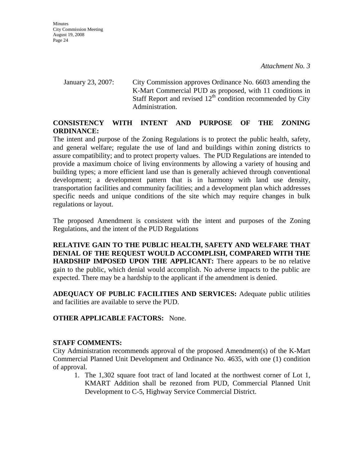January 23, 2007: City Commission approves Ordinance No. 6603 amending the K-Mart Commercial PUD as proposed, with 11 conditions in Staff Report and revised  $12<sup>th</sup>$  condition recommended by City Administration.

#### **CONSISTENCY WITH INTENT AND PURPOSE OF THE ZONING ORDINANCE:**

The intent and purpose of the Zoning Regulations is to protect the public health, safety, and general welfare; regulate the use of land and buildings within zoning districts to assure compatibility; and to protect property values. The PUD Regulations are intended to provide a maximum choice of living environments by allowing a variety of housing and building types; a more efficient land use than is generally achieved through conventional development; a development pattern that is in harmony with land use density, transportation facilities and community facilities; and a development plan which addresses specific needs and unique conditions of the site which may require changes in bulk regulations or layout.

The proposed Amendment is consistent with the intent and purposes of the Zoning Regulations, and the intent of the PUD Regulations

**RELATIVE GAIN TO THE PUBLIC HEALTH, SAFETY AND WELFARE THAT DENIAL OF THE REQUEST WOULD ACCOMPLISH, COMPARED WITH THE HARDSHIP IMPOSED UPON THE APPLICANT:** There appears to be no relative gain to the public, which denial would accomplish. No adverse impacts to the public are expected. There may be a hardship to the applicant if the amendment is denied.

**ADEQUACY OF PUBLIC FACILITIES AND SERVICES:** Adequate public utilities and facilities are available to serve the PUD.

**OTHER APPLICABLE FACTORS:** None.

#### **STAFF COMMENTS:**

City Administration recommends approval of the proposed Amendment(s) of the K-Mart Commercial Planned Unit Development and Ordinance No. 4635, with one (1) condition of approval.

1. The 1,302 square foot tract of land located at the northwest corner of Lot 1, KMART Addition shall be rezoned from PUD, Commercial Planned Unit Development to C-5, Highway Service Commercial District.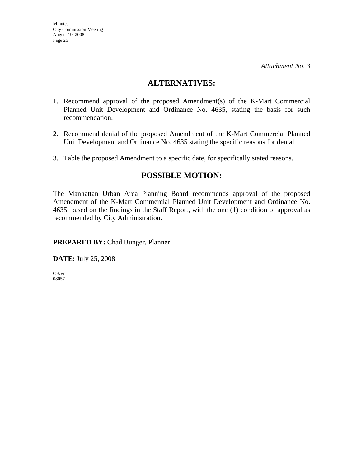### **ALTERNATIVES:**

- 1. Recommend approval of the proposed Amendment(s) of the K-Mart Commercial Planned Unit Development and Ordinance No. 4635, stating the basis for such recommendation.
- 2. Recommend denial of the proposed Amendment of the K-Mart Commercial Planned Unit Development and Ordinance No. 4635 stating the specific reasons for denial.
- 3. Table the proposed Amendment to a specific date, for specifically stated reasons.

## **POSSIBLE MOTION:**

The Manhattan Urban Area Planning Board recommends approval of the proposed Amendment of the K-Mart Commercial Planned Unit Development and Ordinance No. 4635, based on the findings in the Staff Report, with the one (1) condition of approval as recommended by City Administration.

**PREPARED BY:** Chad Bunger, Planner

**DATE:** July 25, 2008

CB/vr 08057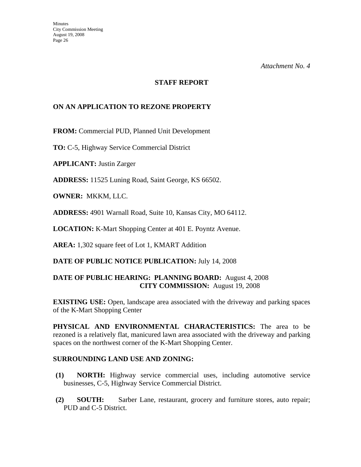#### **STAFF REPORT**

#### **ON AN APPLICATION TO REZONE PROPERTY**

**FROM:** Commercial PUD, Planned Unit Development

**TO:** C-5, Highway Service Commercial District

**APPLICANT:** Justin Zarger

**ADDRESS:** 11525 Luning Road, Saint George, KS 66502.

**OWNER:** MKKM, LLC.

**ADDRESS:** 4901 Warnall Road, Suite 10, Kansas City, MO 64112.

**LOCATION:** K-Mart Shopping Center at 401 E. Poyntz Avenue.

**AREA:** 1,302 square feet of Lot 1, KMART Addition

**DATE OF PUBLIC NOTICE PUBLICATION:** July 14, 2008

#### **DATE OF PUBLIC HEARING: PLANNING BOARD:** August 4, 2008 **CITY COMMISSION:** August 19, 2008

**EXISTING USE:** Open, landscape area associated with the driveway and parking spaces of the K-Mart Shopping Center

**PHYSICAL AND ENVIRONMENTAL CHARACTERISTICS:** The area to be rezoned is a relatively flat, manicured lawn area associated with the driveway and parking spaces on the northwest corner of the K-Mart Shopping Center.

#### **SURROUNDING LAND USE AND ZONING:**

- **(1) NORTH:** Highway service commercial uses, including automotive service businesses, C-5, Highway Service Commercial District.
- **(2) SOUTH:** Sarber Lane, restaurant, grocery and furniture stores, auto repair; PUD and C-5 District.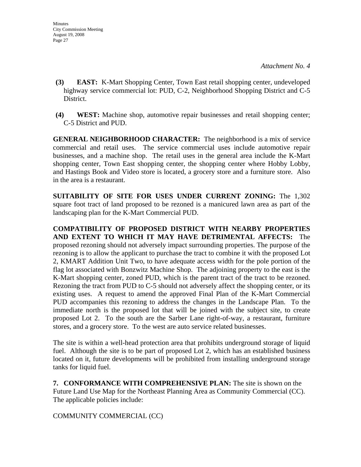- **(3) EAST:** K-Mart Shopping Center, Town East retail shopping center, undeveloped highway service commercial lot: PUD, C-2, Neighborhood Shopping District and C-5 District.
- **(4) WEST:** Machine shop, automotive repair businesses and retail shopping center; C-5 District and PUD.

**GENERAL NEIGHBORHOOD CHARACTER:** The neighborhood is a mix of service commercial and retail uses. The service commercial uses include automotive repair businesses, and a machine shop. The retail uses in the general area include the K-Mart shopping center, Town East shopping center, the shopping center where Hobby Lobby, and Hastings Book and Video store is located, a grocery store and a furniture store. Also in the area is a restaurant.

**SUITABILITY OF SITE FOR USES UNDER CURRENT ZONING:** The 1,302 square foot tract of land proposed to be rezoned is a manicured lawn area as part of the landscaping plan for the K-Mart Commercial PUD.

**COMPATIBILITY OF PROPOSED DISTRICT WITH NEARBY PROPERTIES AND EXTENT TO WHICH IT MAY HAVE DETRIMENTAL AFFECTS:** The proposed rezoning should not adversely impact surrounding properties. The purpose of the rezoning is to allow the applicant to purchase the tract to combine it with the proposed Lot 2, KMART Addition Unit Two, to have adequate access width for the pole portion of the flag lot associated with Bonzwitz Machine Shop. The adjoining property to the east is the K-Mart shopping center, zoned PUD, which is the parent tract of the tract to be rezoned. Rezoning the tract from PUD to C-5 should not adversely affect the shopping center, or its existing uses. A request to amend the approved Final Plan of the K-Mart Commercial PUD accompanies this rezoning to address the changes in the Landscape Plan. To the immediate north is the proposed lot that will be joined with the subject site, to create proposed Lot 2. To the south are the Sarber Lane right-of-way, a restaurant, furniture stores, and a grocery store. To the west are auto service related businesses.

The site is within a well-head protection area that prohibits underground storage of liquid fuel. Although the site is to be part of proposed Lot 2, which has an established business located on it, future developments will be prohibited from installing underground storage tanks for liquid fuel.

**7. CONFORMANCE WITH COMPREHENSIVE PLAN:** The site is shown on the Future Land Use Map for the Northeast Planning Area as Community Commercial (CC). The applicable policies include:

COMMUNITY COMMERCIAL (CC)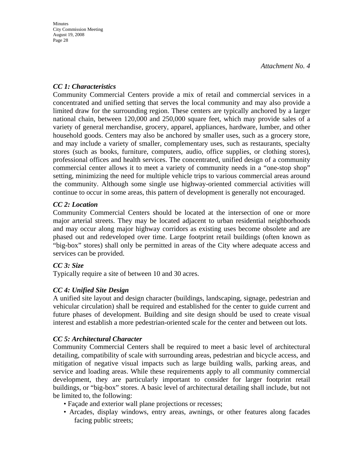#### *CC 1: Characteristics*

Community Commercial Centers provide a mix of retail and commercial services in a concentrated and unified setting that serves the local community and may also provide a limited draw for the surrounding region. These centers are typically anchored by a larger national chain, between 120,000 and 250,000 square feet, which may provide sales of a variety of general merchandise, grocery, apparel, appliances, hardware, lumber, and other household goods. Centers may also be anchored by smaller uses, such as a grocery store, and may include a variety of smaller, complementary uses, such as restaurants, specialty stores (such as books, furniture, computers, audio, office supplies, or clothing stores), professional offices and health services. The concentrated, unified design of a community commercial center allows it to meet a variety of community needs in a "one-stop shop" setting, minimizing the need for multiple vehicle trips to various commercial areas around the community. Although some single use highway-oriented commercial activities will continue to occur in some areas, this pattern of development is generally not encouraged.

#### *CC 2: Location*

Community Commercial Centers should be located at the intersection of one or more major arterial streets. They may be located adjacent to urban residential neighborhoods and may occur along major highway corridors as existing uses become obsolete and are phased out and redeveloped over time. Large footprint retail buildings (often known as "big-box" stores) shall only be permitted in areas of the City where adequate access and services can be provided.

#### *CC 3: Size*

Typically require a site of between 10 and 30 acres.

### *CC 4: Unified Site Design*

A unified site layout and design character (buildings, landscaping, signage, pedestrian and vehicular circulation) shall be required and established for the center to guide current and future phases of development. Building and site design should be used to create visual interest and establish a more pedestrian-oriented scale for the center and between out lots.

#### *CC 5: Architectural Character*

Community Commercial Centers shall be required to meet a basic level of architectural detailing, compatibility of scale with surrounding areas, pedestrian and bicycle access, and mitigation of negative visual impacts such as large building walls, parking areas, and service and loading areas. While these requirements apply to all community commercial development, they are particularly important to consider for larger footprint retail buildings, or "big-box" stores. A basic level of architectural detailing shall include, but not be limited to, the following:

- Façade and exterior wall plane projections or recesses;
- Arcades, display windows, entry areas, awnings, or other features along facades facing public streets;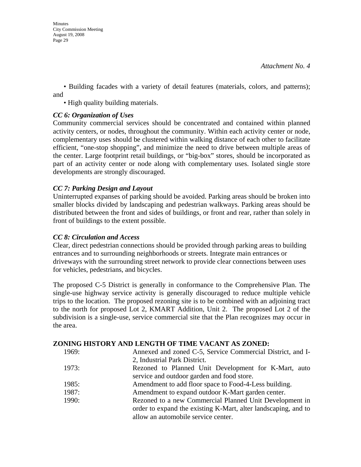• Building facades with a variety of detail features (materials, colors, and patterns); and

• High quality building materials.

#### *CC 6: Organization of Uses*

Community commercial services should be concentrated and contained within planned activity centers, or nodes, throughout the community. Within each activity center or node, complementary uses should be clustered within walking distance of each other to facilitate efficient, "one-stop shopping", and minimize the need to drive between multiple areas of the center. Large footprint retail buildings, or "big-box" stores, should be incorporated as part of an activity center or node along with complementary uses. Isolated single store developments are strongly discouraged.

#### *CC 7: Parking Design and Layout*

Uninterrupted expanses of parking should be avoided. Parking areas should be broken into smaller blocks divided by landscaping and pedestrian walkways. Parking areas should be distributed between the front and sides of buildings, or front and rear, rather than solely in front of buildings to the extent possible.

#### *CC 8: Circulation and Access*

Clear, direct pedestrian connections should be provided through parking areas to building entrances and to surrounding neighborhoods or streets. Integrate main entrances or driveways with the surrounding street network to provide clear connections between uses for vehicles, pedestrians, and bicycles.

The proposed C-5 District is generally in conformance to the Comprehensive Plan. The single-use highway service activity is generally discouraged to reduce multiple vehicle trips to the location. The proposed rezoning site is to be combined with an adjoining tract to the north for proposed Lot 2, KMART Addition, Unit 2. The proposed Lot 2 of the subdivision is a single-use, service commercial site that the Plan recognizes may occur in the area.

#### **ZONING HISTORY AND LENGTH OF TIME VACANT AS ZONED:**

| 1969: | Annexed and zoned C-5, Service Commercial District, and I-     |
|-------|----------------------------------------------------------------|
|       | 2, Industrial Park District.                                   |
| 1973: | Rezoned to Planned Unit Development for K-Mart, auto           |
|       | service and outdoor garden and food store.                     |
| 1985: | Amendment to add floor space to Food-4-Less building.          |
| 1987: | Amendment to expand outdoor K-Mart garden center.              |
| 1990: | Rezoned to a new Commercial Planned Unit Development in        |
|       | order to expand the existing K-Mart, alter landscaping, and to |
|       | allow an automobile service center.                            |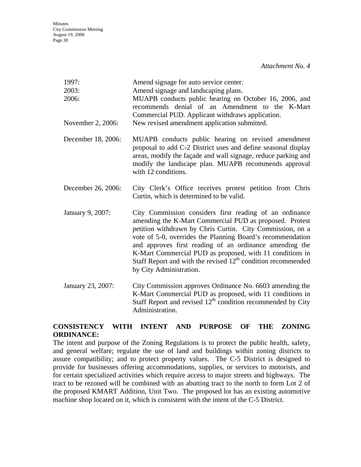| 1997:<br>2003:<br>2006: | Amend signage for auto service center.<br>Amend signage and landscaping plans.<br>MUAPB conducts public hearing on October 16, 2006, and<br>recommends denial of an Amendment to the K-Mart<br>Commercial PUD. Applicant withdraws application.                                                                                                                                                                                                                   |
|-------------------------|-------------------------------------------------------------------------------------------------------------------------------------------------------------------------------------------------------------------------------------------------------------------------------------------------------------------------------------------------------------------------------------------------------------------------------------------------------------------|
| November 2, 2006:       | New revised amendment application submitted.                                                                                                                                                                                                                                                                                                                                                                                                                      |
| December 18, 2006:      | MUAPB conducts public hearing on revised amendment<br>proposal to add C-2 District uses and define seasonal display<br>areas, modify the façade and wall signage, reduce parking and<br>modify the landscape plan. MUAPB recommends approval<br>with 12 conditions.                                                                                                                                                                                               |
| December 26, 2006:      | City Clerk's Office receives protest petition from Chris<br>Curtin, which is determined to be valid.                                                                                                                                                                                                                                                                                                                                                              |
| January 9, 2007:        | City Commission considers first reading of an ordinance<br>amending the K-Mart Commercial PUD as proposed. Protest<br>petition withdrawn by Chris Curtin. City Commission, on a<br>vote of 5-0, overrides the Planning Board's recommendation<br>and approves first reading of an ordinance amending the<br>K-Mart Commercial PUD as proposed, with 11 conditions in<br>Staff Report and with the revised $12th$ condition recommended<br>by City Administration. |
| January 23, 2007:       | City Commission approves Ordinance No. 6603 amending the<br>K-Mart Commercial PUD as proposed, with 11 conditions in<br>Staff Report and revised $12th$ condition recommended by City                                                                                                                                                                                                                                                                             |

#### **CONSISTENCY WITH INTENT AND PURPOSE OF THE ZONING ORDINANCE:**

Administration.

The intent and purpose of the Zoning Regulations is to protect the public health, safety, and general welfare; regulate the use of land and buildings within zoning districts to assure compatibility; and to protect property values. The C-5 District is designed to provide for businesses offering accommodations, supplies, or services to motorists, and for certain specialized activities which require access to major streets and highways. The tract to be rezoned will be combined with an abutting tract to the north to form Lot 2 of the proposed KMART Addition, Unit Two. The proposed lot has an existing automotive machine shop located on it, which is consistent with the intent of the C-5 District.